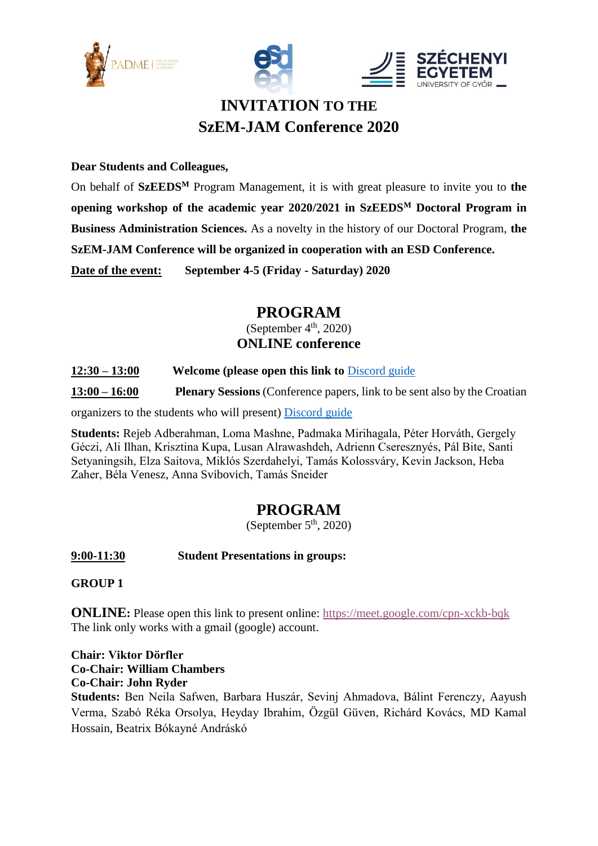





# **INVITATION TO THE SzEM-JAM Conference 2020**

#### **Dear Students and Colleagues,**

On behalf of **SzEEDS<sup>M</sup>** Program Management, it is with great pleasure to invite you to **the opening workshop of the academic year 2020/2021 in SzEEDS<sup>M</sup> Doctoral Program in Business Administration Sciences.** As a novelty in the history of our Doctoral Program, **the SzEM-JAM Conference will be organized in cooperation with an ESD Conference. Date of the event: September 4-5 (Friday - Saturday) 2020**

## **PROGRAM**

(September  $4<sup>th</sup>$ , 2020) **ONLINE conference**

#### **12:30 – 13:00 Welcome (please open this link to** [Discord guide](https://www.dropbox.com/s/2dfwz268gtyfzcg/esd-Conference-Discord-guide.pdf?dl=0)

**13:00 – 16:00 Plenary Sessions** (Conference papers, link to be sent also by the Croatian

organizers to the students who will present) [Discord guide](https://www.dropbox.com/s/2dfwz268gtyfzcg/esd-Conference-Discord-guide.pdf?dl=0)

**Students:** Rejeb Adberahman, Loma Mashne, Padmaka Mirihagala, Péter Horváth, Gergely Géczi, Ali Ilhan, Krisztina Kupa, Lusan Alrawashdeh, Adrienn Cseresznyés, Pál Bite, Santi Setyaningsih, Elza Saitova, Miklós Szerdahelyi, Tamás Kolossváry, Kevin Jackson, Heba Zaher, Béla Venesz, Anna Svibovich, Tamás Sneider

### **PROGRAM**

(September  $5<sup>th</sup>$ , 2020)

**9:00-11:30 Student Presentations in groups:**

**GROUP 1**

**ONLINE:** Please open this link to present online:<https://meet.google.com/cpn-xckb-bqk> The link only works with a gmail (google) account.

**Chair: Viktor Dörfler Co-Chair: William Chambers Co-Chair: John Ryder**

**Students:** Ben Neila Safwen, Barbara Huszár, Sevinj Ahmadova, Bálint Ferenczy, Aayush Verma, Szabó Réka Orsolya, Heyday Ibrahim, Özgül Güven, Richárd Kovács, MD Kamal Hossain, Beatrix Bókayné Andráskó